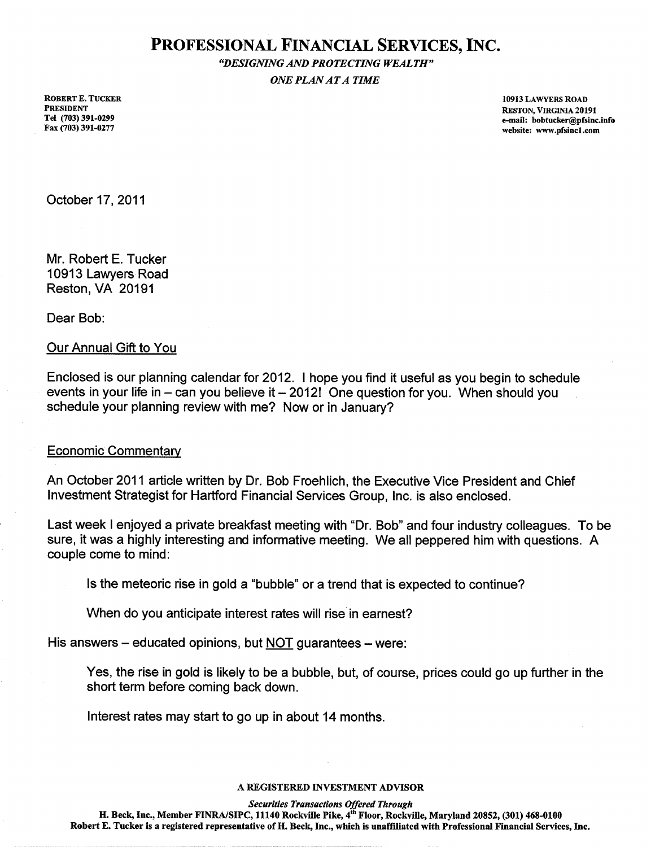# PROFESSIONAL FINANCIAL SERVICES, INC.

"DESIGNING AND PROTECTING WEALTH" **ONE PLAN AT A TIME** 

**ROBERT E. TUCKER PRESIDENT** Tel (703) 391-0299 Fax (703) 391-0277

10913 LAWYERS ROAD RESTON, VIRGINIA 20191 e-mail: bobtucker@pfsinc.info website: www.pfsinc1.com

October 17, 2011

Mr. Robert E. Tucker 10913 Lawyers Road Reston, VA 20191

Dear Bob:

## **Our Annual Gift to You**

Enclosed is our planning calendar for 2012. I hope you find it useful as you begin to schedule events in your life in  $-$  can you believe it  $-$  2012! One question for you. When should you schedule your planning review with me? Now or in January?

### **Economic Commentary**

An October 2011 article written by Dr. Bob Froehlich, the Executive Vice President and Chief Investment Strategist for Hartford Financial Services Group, Inc. is also enclosed.

Last week I enjoyed a private breakfast meeting with "Dr. Bob" and four industry colleagues. To be sure, it was a highly interesting and informative meeting. We all peppered him with questions. A couple come to mind:

Is the meteoric rise in gold a "bubble" or a trend that is expected to continue?

When do you anticipate interest rates will rise in earnest?

His answers – educated opinions, but NOT guarantees – were:

Yes, the rise in gold is likely to be a bubble, but, of course, prices could go up further in the short term before coming back down.

Interest rates may start to go up in about 14 months.

#### A REGISTERED INVESTMENT ADVISOR

**Securities Transactions Offered Through** 

H. Beck, Inc., Member FINRA/SIPC, 11140 Rockville Pike, 4<sup>th</sup> Floor, Rockville, Maryland 20852, (301) 468-0100 Robert E. Tucker is a registered representative of H. Beck, Inc., which is unaffiliated with Professional Financial Services, Inc.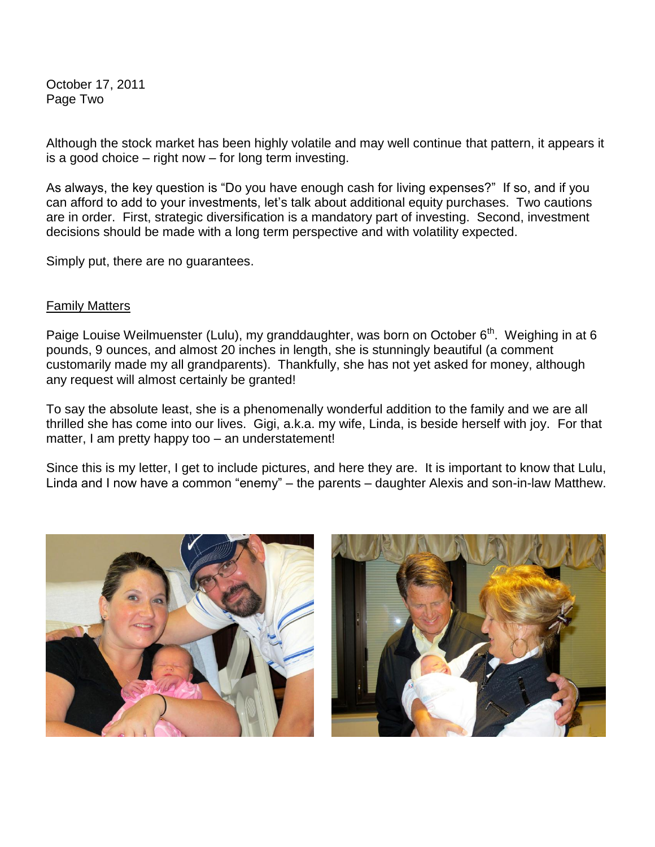October 17, 2011 Page Two

Although the stock market has been highly volatile and may well continue that pattern, it appears it is a good choice – right now – for long term investing.

As always, the key question is "Do you have enough cash for living expenses?" If so, and if you can afford to add to your investments, let's talk about additional equity purchases. Two cautions are in order. First, strategic diversification is a mandatory part of investing. Second, investment decisions should be made with a long term perspective and with volatility expected.

Simply put, there are no guarantees.

# Family Matters

Paige Louise Weilmuenster (Lulu), my granddaughter, was born on October 6<sup>th</sup>. Weighing in at 6 pounds, 9 ounces, and almost 20 inches in length, she is stunningly beautiful (a comment customarily made my all grandparents). Thankfully, she has not yet asked for money, although any request will almost certainly be granted!

To say the absolute least, she is a phenomenally wonderful addition to the family and we are all thrilled she has come into our lives. Gigi, a.k.a. my wife, Linda, is beside herself with joy. For that matter, I am pretty happy too – an understatement!

Since this is my letter, I get to include pictures, and here they are. It is important to know that Lulu, Linda and I now have a common "enemy" – the parents – daughter Alexis and son-in-law Matthew.